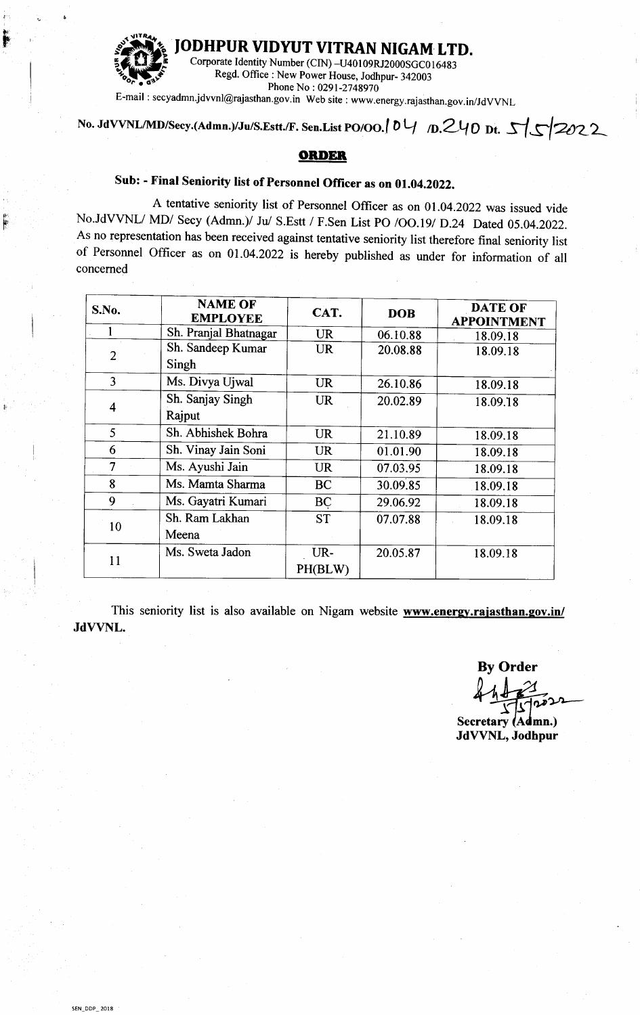

**ODHPUR VIDYUT VITRAN NIGAM LTD.** 

Corporate Identity Number (CIN)-U40109RJ2000SGC016483 Regd. Office: New Power House, Jodhpur- 342003 Phone No: 0291-2748970

E-mail: secyadmn.jdvvnl@rajasthan.gov.in Web site: www.energy.rajasthan.gov.in/JdVVNL

## No. JdVVNL/MD/Secy.(Admn.)/Ju/S.Estt./F. Sen.List PO/OO. 0  $\frac{1}{2}$  D. 240 Dt. 5 \ 5 \ 2022

## **ORDER**

## Sub: - Final Seniority list of Personnel Officer as on 01.04.2022.

A tentative seniority list of Personnel Officer as on 01.04.2022 was issued vide No.JdVVNL/ MD/ Secy (Admn.)/ Ju/ S.Estt / F.Sen List PO /OO.19/ D.24 Dated 05.04.2022. As no representation has been received against tentative seniority list therefore final seniority list of Personnel Officer as on 01.04.2022 is hereby published as under for information of all concerned

| S.No.                   | <b>NAME OF</b><br><b>EMPLOYEE</b> | CAT.      | <b>DOB</b> | <b>DATE OF</b><br><b>APPOINTMENT</b> |
|-------------------------|-----------------------------------|-----------|------------|--------------------------------------|
|                         | Sh. Pranjal Bhatnagar             | <b>UR</b> | 06.10.88   | 18.09.18                             |
| $\overline{2}$          | Sh. Sandeep Kumar                 | <b>UR</b> | 20.08.88   | 18.09.18                             |
|                         | Singh                             |           |            |                                      |
| 3                       | Ms. Divya Ujwal                   | <b>UR</b> | 26.10.86   | 18.09.18                             |
| $\overline{\mathbf{4}}$ | Sh. Sanjay Singh                  | <b>UR</b> | 20.02.89   | 18.09.18                             |
|                         | Rajput                            |           |            |                                      |
| 5                       | Sh. Abhishek Bohra                | <b>UR</b> | 21.10.89   | 18.09.18                             |
| 6                       | Sh. Vinay Jain Soni               | <b>UR</b> | 01.01.90   | 18.09.18                             |
| 7                       | Ms. Ayushi Jain                   | <b>UR</b> | 07.03.95   | 18.09.18                             |
| 8                       | Ms. Mamta Sharma                  | <b>BC</b> | 30.09.85   | 18.09.18                             |
| 9                       | Ms. Gayatri Kumari                | <b>BC</b> | 29.06.92   | 18.09.18                             |
| 10                      | Sh. Ram Lakhan                    | <b>ST</b> | 07.07.88   | 18.09.18                             |
|                         | Meena                             |           |            |                                      |
| 11                      | Ms. Sweta Jadon                   | UR-       | 20.05.87   | 18.09.18                             |
|                         |                                   | PH(BLW)   |            |                                      |

This seniority list is also available on Nigam website www.energy.rajasthan.gov.in/ JdVVNL.

**By Order** 

**Secretary (Admn.)** JdVVNL, Jodhpur